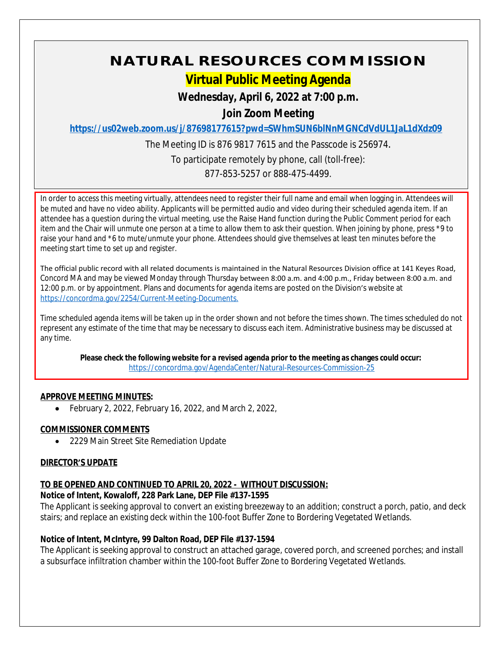# **NATURAL RESOURCES COMMISSION**

## **Virtual Public Meeting Agenda**

## **Wednesday, April 6, 2022 at 7:00 p.m.**

**Join Zoom Meeting**

**<https://us02web.zoom.us/j/87698177615?pwd=SWhmSUN6blNnMGNCdVdUL1JaL1dXdz09>**

The Meeting ID is 876 9817 7615 and the Passcode is 256974. To participate remotely by phone, call (toll-free): 877-853-5257 or 888-475-4499.

In order to access this meeting virtually, attendees need to register their full name and email when logging in. Attendees will be muted and have no video ability. Applicants will be permitted audio and video during their scheduled agenda item. If an attendee has a question during the virtual meeting, use the Raise Hand function during the Public Comment period for each item and the Chair will unmute one person at a time to allow them to ask their question. When joining by phone, press \*9 to raise your hand and \*6 to mute/unmute your phone. Attendees should give themselves at least ten minutes before the meeting start time to set up and register.

The official public record with all related documents is maintained in the Natural Resources Division office at 141 Keyes Road, Concord MA and may be viewed Monday through Thursday between 8:00 a.m. and 4:00 p.m., Friday between 8:00 a.m. and 12:00 p.m. or by appointment. Plans and documents for agenda items are posted on the Division's website at [https://concordma.gov/2254/Current-Meeting-Documents.](https://concordma.gov/2254/Current-Meeting-Documents)

Time scheduled agenda items will be taken up in the order shown and not before the times shown. The times scheduled do not represent any estimate of the time that may be necessary to discuss each item. Administrative business may be discussed at any time.

**Please check the following website for a revised agenda prior to the meeting as changes could occur:**  <https://concordma.gov/AgendaCenter/Natural-Resources-Commission-25>

## **APPROVE MEETING MINUTES:**

 $\bullet$  February 2, 2022, February 16, 2022, and March 2, 2022,

## **COMMISSIONER COMMENTS**

2229 Main Street Site Remediation Update

## **DIRECTOR'S UPDATE**

## **TO BE OPENED AND CONTINUED TO APRIL 20, 2022 - WITHOUT DISCUSSION:**

## **Notice of Intent, Kowaloff, 228 Park Lane, DEP File #137-1595**

The Applicant is seeking approval to convert an existing breezeway to an addition; construct a porch, patio, and deck stairs; and replace an existing deck within the 100-foot Buffer Zone to Bordering Vegetated Wetlands.

## **Notice of Intent, McIntyre, 99 Dalton Road, DEP File #137-1594**

The Applicant is seeking approval to construct an attached garage, covered porch, and screened porches; and install a subsurface infiltration chamber within the 100-foot Buffer Zone to Bordering Vegetated Wetlands.